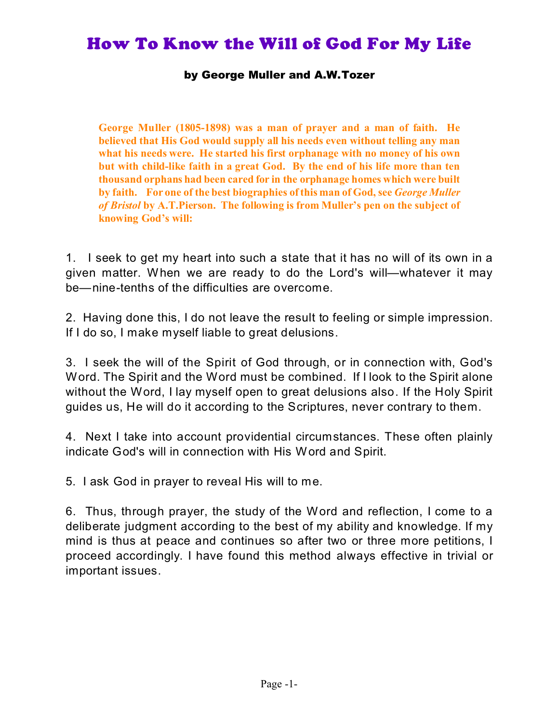## How To Know the Will of God For My Life

## by George Muller and A.W.Tozer

**George Muller (1805-1898) was a man of prayer and a man of faith. He believed that His God would supply all his needs even without telling any man what his needs were. He started his first orphanage with no money of his own but with child-like faith in a great God. By the end of his life more than ten thousand orphans had been cared for in the orphanage homes which were built by faith. For one of the best biographies of this man of God, see** *George Muller of Bristol* **by A.T.Pierson. The following is from Muller's pen on the subject of knowing God's will:**

1. I seek to get my heart into such a state that it has no will of its own in a given matter. When we are ready to do the Lord's will—whatever it may be—nine-tenths of the difficulties are overcome.

2. Having done this, I do not leave the result to feeling or simple impression. If I do so, I make myself liable to great delusions.

3. I seek the will of the Spirit of God through, or in connection with, God's Word. The Spirit and the Word must be combined. If I look to the Spirit alone without the Word, I lay myself open to great delusions also. If the Holy Spirit guides us, He will do it according to the Scriptures, never contrary to them.

4. Next I take into account providential circumstances. These often plainly indicate God's will in connection with His Word and Spirit.

5. I ask God in prayer to reveal His will to me.

6. Thus, through prayer, the study of the Word and reflection, I come to a deliberate judgment according to the best of my ability and knowledge. If my mind is thus at peace and continues so after two or three more petitions, I proceed accordingly. I have found this method always effective in trivial or important issues.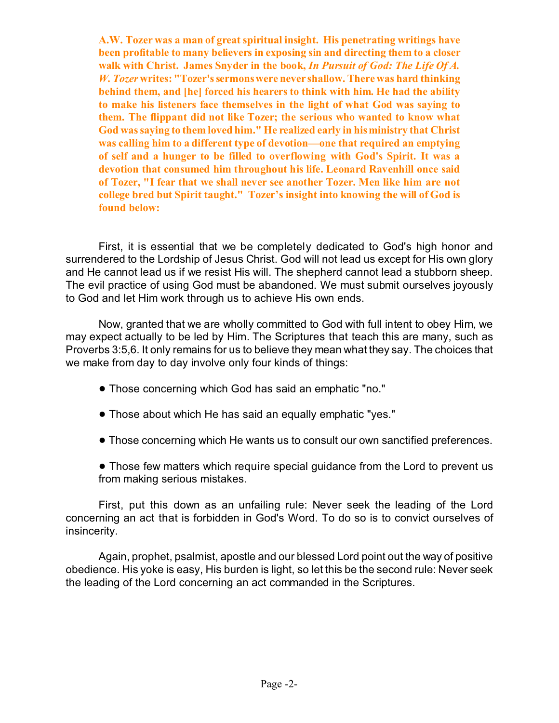**A.W. Tozer was a man of great spiritual insight. His penetrating writings have been profitable to many believers in exposing sin and directing them to a closer walk with Christ. James Snyder in the book,** *In Pursuit of God: The Life Of A. W. Tozer* **writes: "Tozer's sermons were never shallow. There was hard thinking behind them, and [he] forced his hearers to think with him. He had the ability to make his listeners face themselves in the light of what God was saying to them. The flippant did not like Tozer; the serious who wanted to know what God was saying to them loved him." He realized early in his ministry that Christ was calling him to a different type of devotion—one that required an emptying of self and a hunger to be filled to overflowing with God's Spirit. It was a devotion that consumed him throughout his life. Leonard Ravenhill once said of Tozer, "I fear that we shall never see another Tozer. Men like him are not college bred but Spirit taught." Tozer's insight into knowing the will of God is found below:**

First, it is essential that we be completely dedicated to God's high honor and surrendered to the Lordship of Jesus Christ. God will not lead us except for His own glory and He cannot lead us if we resist His will. The shepherd cannot lead a stubborn sheep. The evil practice of using God must be abandoned. We must submit ourselves joyously to God and let Him work through us to achieve His own ends.

Now, granted that we are wholly committed to God with full intent to obey Him, we may expect actually to be led by Him. The Scriptures that teach this are many, such as Proverbs 3:5,6. It only remains for us to believe they mean what they say. The choices that we make from day to day involve only four kinds of things:

- ! Those concerning which God has said an emphatic "no."
- ! Those about which He has said an equally emphatic "yes."
- ! Those concerning which He wants us to consult our own sanctified preferences.
- Those few matters which require special guidance from the Lord to prevent us from making serious mistakes.

First, put this down as an unfailing rule: Never seek the leading of the Lord concerning an act that is forbidden in God's Word. To do so is to convict ourselves of insincerity.

Again, prophet, psalmist, apostle and our blessed Lord point out the way of positive obedience. His yoke is easy, His burden is light, so let this be the second rule: Never seek the leading of the Lord concerning an act commanded in the Scriptures.